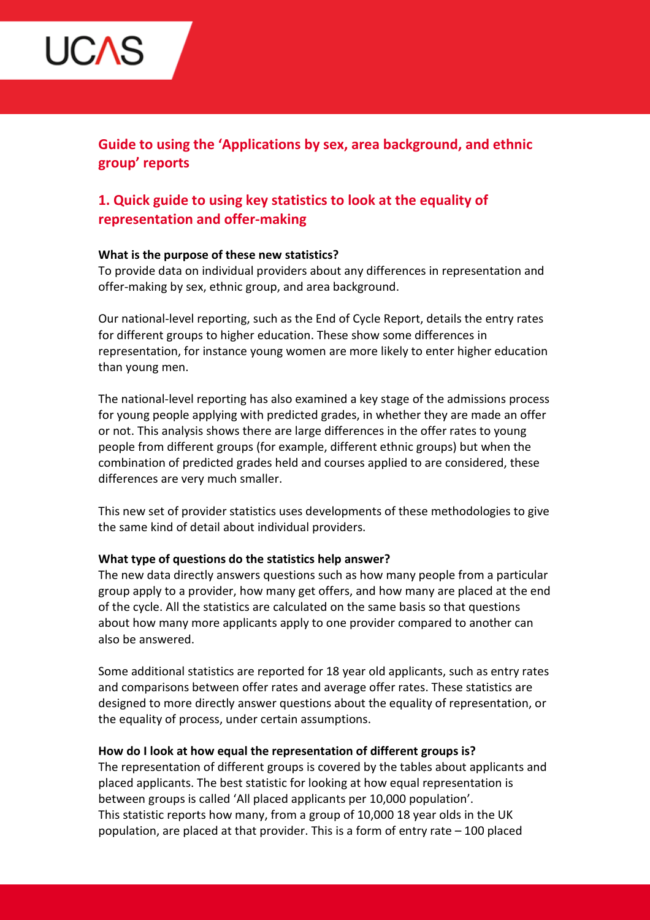

Guide to using the 'Applications by sex, area background, and ethnic group' reports

# 1. Quick guide to using key statistics to look at the equality of representation and offer-making

### What is the purpose of these new statistics?

To provide data on individual providers about any differences in representation and offer-making by sex, ethnic group, and area background.

Our national-level reporting, such as the End of Cycle Report, details the entry rates for different groups to higher education. These show some differences in representation, for instance young women are more likely to enter higher education than young men.

The national-level reporting has also examined a key stage of the admissions process for young people applying with predicted grades, in whether they are made an offer or not. This analysis shows there are large differences in the offer rates to young people from different groups (for example, different ethnic groups) but when the combination of predicted grades held and courses applied to are considered, these differences are very much smaller.

This new set of provider statistics uses developments of these methodologies to give the same kind of detail about individual providers.

### What type of questions do the statistics help answer?

The new data directly answers questions such as how many people from a particular group apply to a provider, how many get offers, and how many are placed at the end of the cycle. All the statistics are calculated on the same basis so that questions about how many more applicants apply to one provider compared to another can also be answered.

Some additional statistics are reported for 18 year old applicants, such as entry rates and comparisons between offer rates and average offer rates. These statistics are designed to more directly answer questions about the equality of representation, or the equality of process, under certain assumptions.

### How do I look at how equal the representation of different groups is?

The representation of different groups is covered by the tables about applicants and placed applicants. The best statistic for looking at how equal representation is between groups is called 'All placed applicants per 10,000 population'. This statistic reports how many, from a group of 10,000 18 year olds in the UK population, are placed at that provider. This is a form of entry rate – 100 placed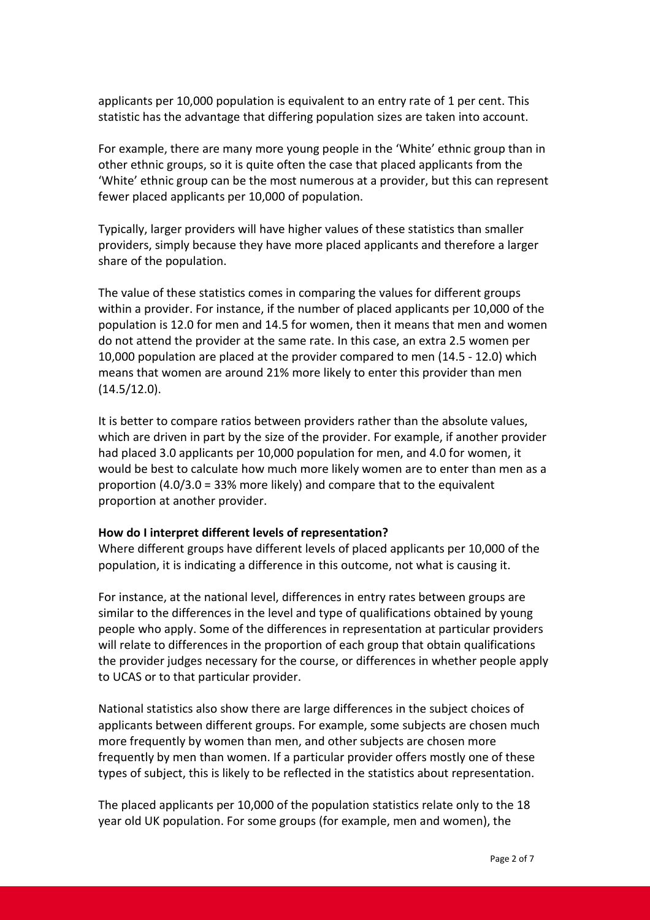applicants per 10,000 population is equivalent to an entry rate of 1 per cent. This statistic has the advantage that differing population sizes are taken into account.

For example, there are many more young people in the 'White' ethnic group than in other ethnic groups, so it is quite often the case that placed applicants from the 'White' ethnic group can be the most numerous at a provider, but this can represent fewer placed applicants per 10,000 of population.

Typically, larger providers will have higher values of these statistics than smaller providers, simply because they have more placed applicants and therefore a larger share of the population.

The value of these statistics comes in comparing the values for different groups within a provider. For instance, if the number of placed applicants per 10,000 of the population is 12.0 for men and 14.5 for women, then it means that men and women do not attend the provider at the same rate. In this case, an extra 2.5 women per 10,000 population are placed at the provider compared to men (14.5 - 12.0) which means that women are around 21% more likely to enter this provider than men (14.5/12.0).

It is better to compare ratios between providers rather than the absolute values, which are driven in part by the size of the provider. For example, if another provider had placed 3.0 applicants per 10,000 population for men, and 4.0 for women, it would be best to calculate how much more likely women are to enter than men as a proportion (4.0/3.0 = 33% more likely) and compare that to the equivalent proportion at another provider.

### How do I interpret different levels of representation?

Where different groups have different levels of placed applicants per 10,000 of the population, it is indicating a difference in this outcome, not what is causing it.

For instance, at the national level, differences in entry rates between groups are similar to the differences in the level and type of qualifications obtained by young people who apply. Some of the differences in representation at particular providers will relate to differences in the proportion of each group that obtain qualifications the provider judges necessary for the course, or differences in whether people apply to UCAS or to that particular provider.

National statistics also show there are large differences in the subject choices of applicants between different groups. For example, some subjects are chosen much more frequently by women than men, and other subjects are chosen more frequently by men than women. If a particular provider offers mostly one of these types of subject, this is likely to be reflected in the statistics about representation.

The placed applicants per 10,000 of the population statistics relate only to the 18 year old UK population. For some groups (for example, men and women), the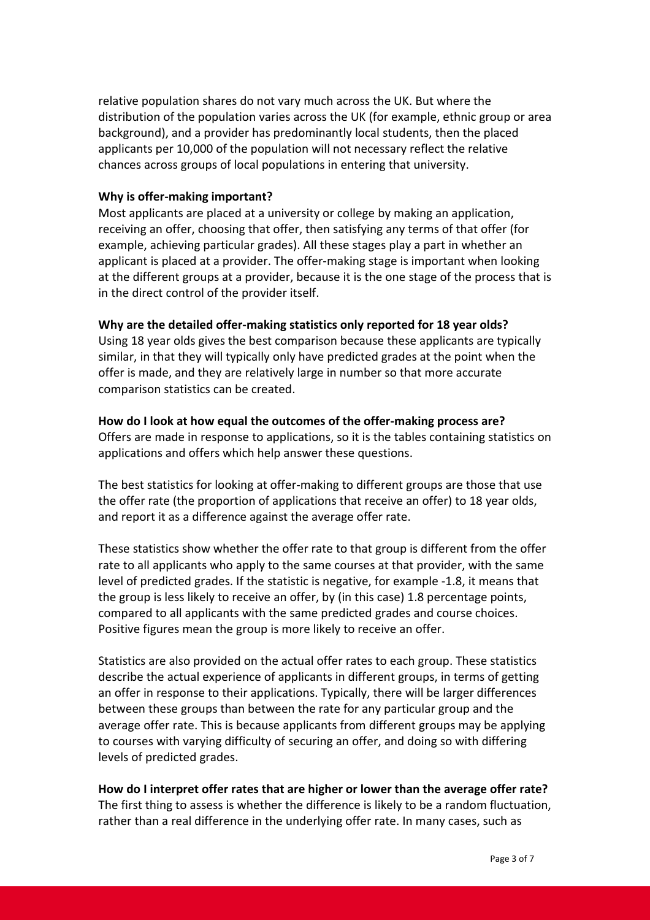relative population shares do not vary much across the UK. But where the distribution of the population varies across the UK (for example, ethnic group or area background), and a provider has predominantly local students, then the placed applicants per 10,000 of the population will not necessary reflect the relative chances across groups of local populations in entering that university.

### Why is offer-making important?

Most applicants are placed at a university or college by making an application, receiving an offer, choosing that offer, then satisfying any terms of that offer (for example, achieving particular grades). All these stages play a part in whether an applicant is placed at a provider. The offer-making stage is important when looking at the different groups at a provider, because it is the one stage of the process that is in the direct control of the provider itself.

### Why are the detailed offer-making statistics only reported for 18 year olds?

Using 18 year olds gives the best comparison because these applicants are typically similar, in that they will typically only have predicted grades at the point when the offer is made, and they are relatively large in number so that more accurate comparison statistics can be created.

# How do I look at how equal the outcomes of the offer-making process are?

Offers are made in response to applications, so it is the tables containing statistics on applications and offers which help answer these questions.

The best statistics for looking at offer-making to different groups are those that use the offer rate (the proportion of applications that receive an offer) to 18 year olds, and report it as a difference against the average offer rate.

These statistics show whether the offer rate to that group is different from the offer rate to all applicants who apply to the same courses at that provider, with the same level of predicted grades. If the statistic is negative, for example -1.8, it means that the group is less likely to receive an offer, by (in this case) 1.8 percentage points, compared to all applicants with the same predicted grades and course choices. Positive figures mean the group is more likely to receive an offer.

Statistics are also provided on the actual offer rates to each group. These statistics describe the actual experience of applicants in different groups, in terms of getting an offer in response to their applications. Typically, there will be larger differences between these groups than between the rate for any particular group and the average offer rate. This is because applicants from different groups may be applying to courses with varying difficulty of securing an offer, and doing so with differing levels of predicted grades.

# How do I interpret offer rates that are higher or lower than the average offer rate?

The first thing to assess is whether the difference is likely to be a random fluctuation, rather than a real difference in the underlying offer rate. In many cases, such as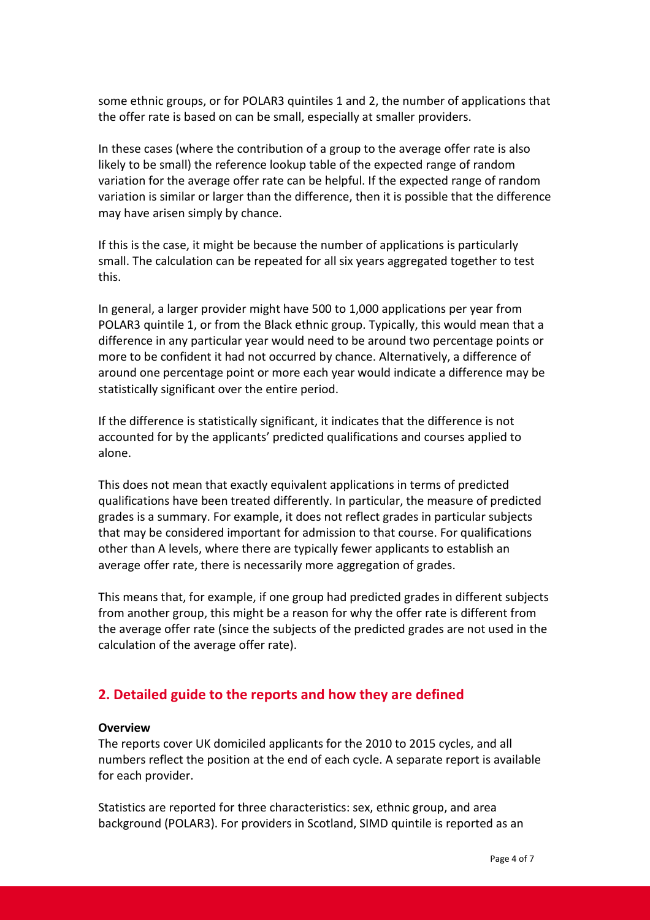some ethnic groups, or for POLAR3 quintiles 1 and 2, the number of applications that the offer rate is based on can be small, especially at smaller providers.

In these cases (where the contribution of a group to the average offer rate is also likely to be small) the reference lookup table of the expected range of random variation for the average offer rate can be helpful. If the expected range of random variation is similar or larger than the difference, then it is possible that the difference may have arisen simply by chance.

If this is the case, it might be because the number of applications is particularly small. The calculation can be repeated for all six years aggregated together to test this.

In general, a larger provider might have 500 to 1,000 applications per year from POLAR3 quintile 1, or from the Black ethnic group. Typically, this would mean that a difference in any particular year would need to be around two percentage points or more to be confident it had not occurred by chance. Alternatively, a difference of around one percentage point or more each year would indicate a difference may be statistically significant over the entire period.

If the difference is statistically significant, it indicates that the difference is not accounted for by the applicants' predicted qualifications and courses applied to alone.

This does not mean that exactly equivalent applications in terms of predicted qualifications have been treated differently. In particular, the measure of predicted grades is a summary. For example, it does not reflect grades in particular subjects that may be considered important for admission to that course. For qualifications other than A levels, where there are typically fewer applicants to establish an average offer rate, there is necessarily more aggregation of grades.

This means that, for example, if one group had predicted grades in different subjects from another group, this might be a reason for why the offer rate is different from the average offer rate (since the subjects of the predicted grades are not used in the calculation of the average offer rate).

# 2. Detailed guide to the reports and how they are defined

### **Overview**

The reports cover UK domiciled applicants for the 2010 to 2015 cycles, and all numbers reflect the position at the end of each cycle. A separate report is available for each provider.

Statistics are reported for three characteristics: sex, ethnic group, and area background (POLAR3). For providers in Scotland, SIMD quintile is reported as an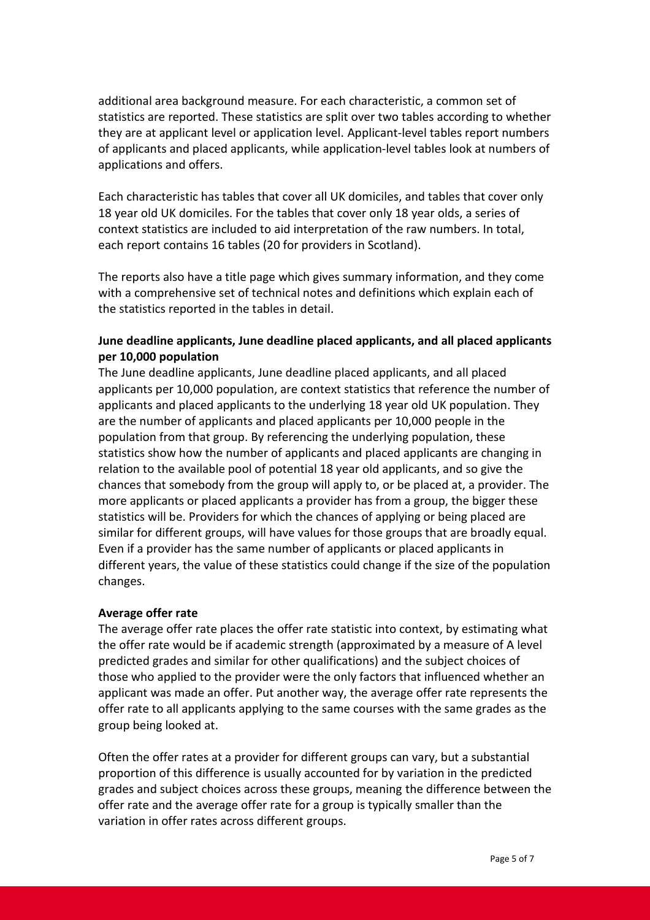additional area background measure. For each characteristic, a common set of statistics are reported. These statistics are split over two tables according to whether they are at applicant level or application level. Applicant-level tables report numbers of applicants and placed applicants, while application-level tables look at numbers of applications and offers.

Each characteristic has tables that cover all UK domiciles, and tables that cover only 18 year old UK domiciles. For the tables that cover only 18 year olds, a series of context statistics are included to aid interpretation of the raw numbers. In total, each report contains 16 tables (20 for providers in Scotland).

The reports also have a title page which gives summary information, and they come with a comprehensive set of technical notes and definitions which explain each of the statistics reported in the tables in detail.

# June deadline applicants, June deadline placed applicants, and all placed applicants per 10,000 population

The June deadline applicants, June deadline placed applicants, and all placed applicants per 10,000 population, are context statistics that reference the number of applicants and placed applicants to the underlying 18 year old UK population. They are the number of applicants and placed applicants per 10,000 people in the population from that group. By referencing the underlying population, these statistics show how the number of applicants and placed applicants are changing in relation to the available pool of potential 18 year old applicants, and so give the chances that somebody from the group will apply to, or be placed at, a provider. The more applicants or placed applicants a provider has from a group, the bigger these statistics will be. Providers for which the chances of applying or being placed are similar for different groups, will have values for those groups that are broadly equal. Even if a provider has the same number of applicants or placed applicants in different years, the value of these statistics could change if the size of the population changes.

# Average offer rate

The average offer rate places the offer rate statistic into context, by estimating what the offer rate would be if academic strength (approximated by a measure of A level predicted grades and similar for other qualifications) and the subject choices of those who applied to the provider were the only factors that influenced whether an applicant was made an offer. Put another way, the average offer rate represents the offer rate to all applicants applying to the same courses with the same grades as the group being looked at.

Often the offer rates at a provider for different groups can vary, but a substantial proportion of this difference is usually accounted for by variation in the predicted grades and subject choices across these groups, meaning the difference between the offer rate and the average offer rate for a group is typically smaller than the variation in offer rates across different groups.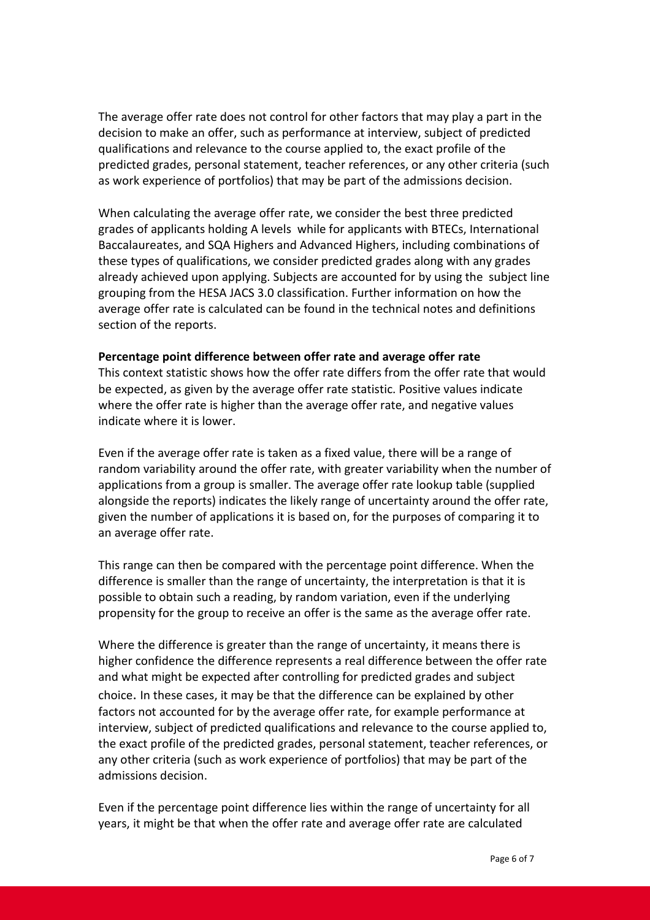The average offer rate does not control for other factors that may play a part in the decision to make an offer, such as performance at interview, subject of predicted qualifications and relevance to the course applied to, the exact profile of the predicted grades, personal statement, teacher references, or any other criteria (such as work experience of portfolios) that may be part of the admissions decision.

When calculating the average offer rate, we consider the best three predicted grades of applicants holding A levels while for applicants with BTECs, International Baccalaureates, and SQA Highers and Advanced Highers, including combinations of these types of qualifications, we consider predicted grades along with any grades already achieved upon applying. Subjects are accounted for by using the subject line grouping from the HESA JACS 3.0 classification. Further information on how the average offer rate is calculated can be found in the technical notes and definitions section of the reports.

#### Percentage point difference between offer rate and average offer rate

This context statistic shows how the offer rate differs from the offer rate that would be expected, as given by the average offer rate statistic. Positive values indicate where the offer rate is higher than the average offer rate, and negative values indicate where it is lower.

Even if the average offer rate is taken as a fixed value, there will be a range of random variability around the offer rate, with greater variability when the number of applications from a group is smaller. The average offer rate lookup table (supplied alongside the reports) indicates the likely range of uncertainty around the offer rate, given the number of applications it is based on, for the purposes of comparing it to an average offer rate.

This range can then be compared with the percentage point difference. When the difference is smaller than the range of uncertainty, the interpretation is that it is possible to obtain such a reading, by random variation, even if the underlying propensity for the group to receive an offer is the same as the average offer rate.

Where the difference is greater than the range of uncertainty, it means there is higher confidence the difference represents a real difference between the offer rate and what might be expected after controlling for predicted grades and subject choice. In these cases, it may be that the difference can be explained by other factors not accounted for by the average offer rate, for example performance at interview, subject of predicted qualifications and relevance to the course applied to, the exact profile of the predicted grades, personal statement, teacher references, or any other criteria (such as work experience of portfolios) that may be part of the admissions decision.

Even if the percentage point difference lies within the range of uncertainty for all years, it might be that when the offer rate and average offer rate are calculated